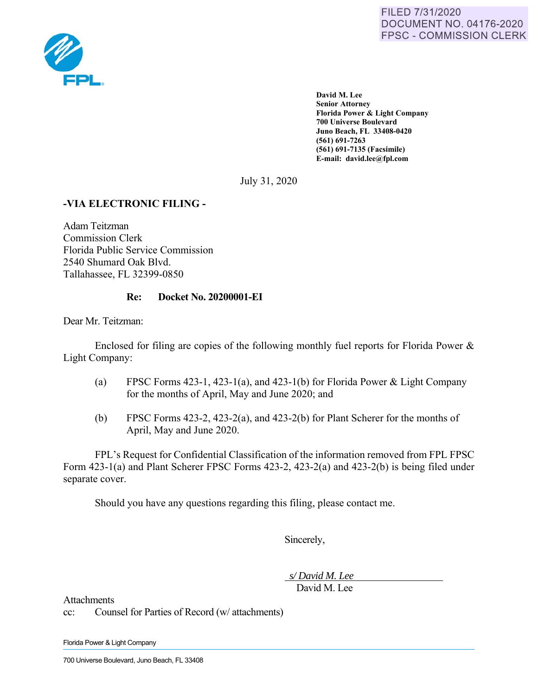

**David M. Lee Senior Attorney Florida Power & Light Company 700 Universe Boulevard Juno Beach, FL 33408-0420 (561) 691-7263 (561) 691-7135 (Facsimile) E-mail: david.lee@fpl.com** 

July 31, 2020

# **-VIA ELECTRONIC FILING -**

Adam Teitzman Commission Clerk Florida Public Service Commission 2540 Shumard Oak Blvd. Tallahassee, FL 32399-0850

## **Re: Docket No. 20200001-EI**

Dear Mr. Teitzman:

Enclosed for filing are copies of the following monthly fuel reports for Florida Power & Light Company:

- (a) FPSC Forms 423-1, 423-1(a), and 423-1(b) for Florida Power & Light Company for the months of April, May and June 2020; and
- (b) FPSC Forms 423-2, 423-2(a), and 423-2(b) for Plant Scherer for the months of April, May and June 2020.

FPL's Request for Confidential Classification of the information removed from FPL FPSC Form 423-1(a) and Plant Scherer FPSC Forms 423-2, 423-2(a) and 423-2(b) is being filed under separate cover.

Should you have any questions regarding this filing, please contact me.

Sincerely,

 *s/ David M. Lee* 

David M. Lee

Attachments

cc: Counsel for Parties of Record (w/ attachments)

Florida Power & Light Company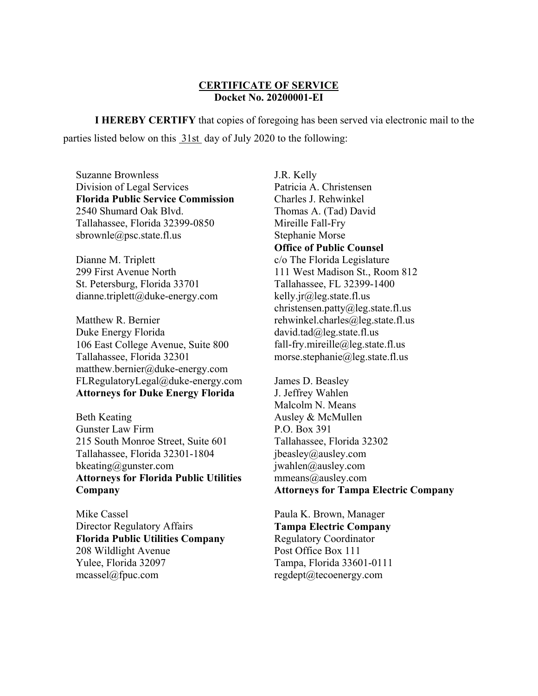### **CERTIFICATE OF SERVICE Docket No. 20200001-EI**

**I HEREBY CERTIFY** that copies of foregoing has been served via electronic mail to the parties listed below on this 31st day of July 2020 to the following:

Suzanne Brownless Division of Legal Services **Florida Public Service Commission**  2540 Shumard Oak Blvd. Tallahassee, Florida 32399-0850 sbrownle@psc.state.fl.us

Dianne M. Triplett 299 First Avenue North St. Petersburg, Florida 33701 dianne.triplett@duke-energy.com

Matthew R. Bernier Duke Energy Florida 106 East College Avenue, Suite 800 Tallahassee, Florida 32301 matthew.bernier@duke-energy.com FLRegulatoryLegal@duke-energy.com **Attorneys for Duke Energy Florida** 

Beth Keating Gunster Law Firm 215 South Monroe Street, Suite 601 Tallahassee, Florida 32301-1804 bkeating@gunster.com **Attorneys for Florida Public Utilities Company** 

Mike Cassel Director Regulatory Affairs **Florida Public Utilities Company**  208 Wildlight Avenue Yulee, Florida 32097 mcassel@fpuc.com

J.R. Kelly Patricia A. Christensen Charles J. Rehwinkel Thomas A. (Tad) David Mireille Fall-Fry Stephanie Morse **Office of Public Counsel**  c/o The Florida Legislature 111 West Madison St., Room 812 Tallahassee, FL 32399-1400 kelly.jr@leg.state.fl.us christensen.patty@leg.state.fl.us rehwinkel.charles@leg.state.fl.us david.tad@leg.state.fl.us fall-fry.mireille@leg.state.fl.us morse.stephanie@leg.state.fl.us

James D. Beasley J. Jeffrey Wahlen Malcolm N. Means Ausley & McMullen P.O. Box 391 Tallahassee, Florida 32302 jbeasley@ausley.com jwahlen@ausley.com mmeans@ausley.com **Attorneys for Tampa Electric Company** 

Paula K. Brown, Manager **Tampa Electric Company**  Regulatory Coordinator Post Office Box 111 Tampa, Florida 33601-0111 regdept@tecoenergy.com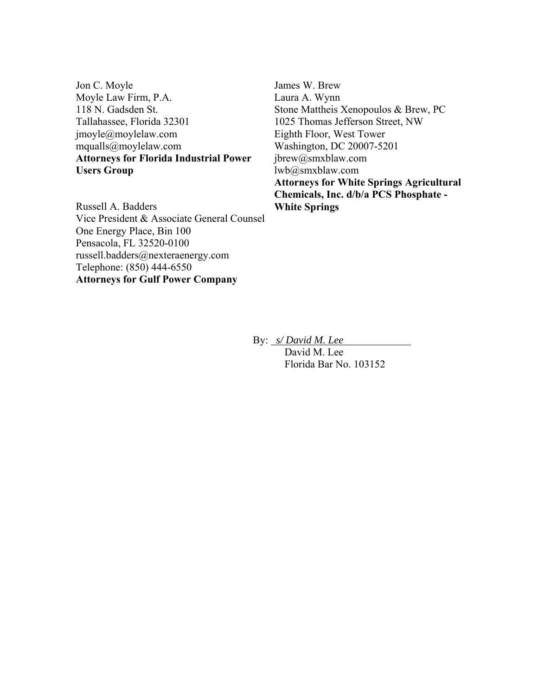Jon C. Moyle Moyle Law Firm, P.A. 118 N. Gadsden St. Tallahassee, Florida 32301 jmoyle@moylelaw.com mqualls@moylelaw.com **Attorneys for Florida Industrial Power Users Group** 

James W. Brew Laura A. Wynn Stone Mattheis Xenopoulos & Brew, PC 1025 Thomas Jefferson Street, NW Eighth Floor, West Tower Washington, DC 20007-5201 jbrew@smxblaw.com lwb@smxblaw.com **Attorneys for White Springs Agricultural Chemicals, Inc. d/b/a PCS Phosphate - White Springs** 

Russell A. Badders Vice President & Associate General Counsel One Energy Place, Bin 100 Pensacola, FL 32520-0100 russell.badders@nexteraenergy.com Telephone: (850) 444-6550 **Attorneys for Gulf Power Company** 

By: *s/ David M. Lee* 

 David M. Lee Florida Bar No. 103152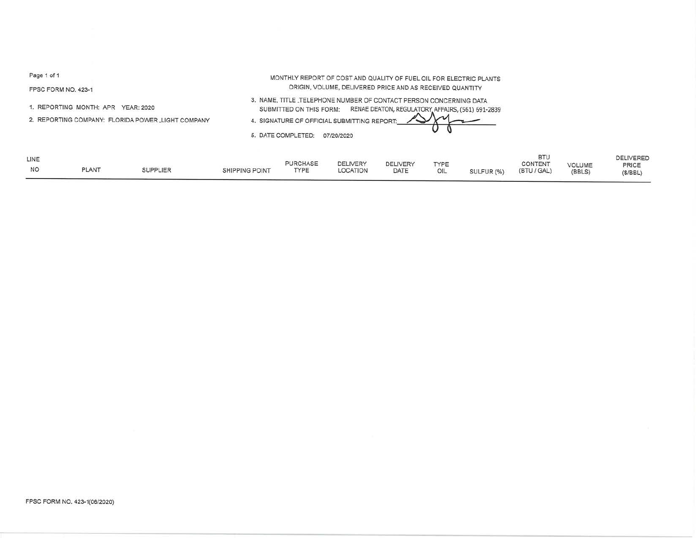FPSC FORM NO. 423-1

1. REPORTING MONTH: APR YEAR: 2020

2. REPORTING COMPANY: FLORIDA POWER \_LIGHT COMPANY

MONTHLY REPORT OF COST ANO QUALITY OF FUEL OIL FOR ELECTRIC PLANTS ORIGIN, VOLUME, DELIVERED PRICE AND AS RECEIVED QUANTITY

3. NAME, TITLE \_TELEPHONE NUMBER OF CONTACT PERSON CONCERNING DATA SUBMITTED ON THIS FORM: RENAE DEATON, REGULATORY AFFAIRS, (561) 691-2839

4. SIGNATURE OF OFFICIAL SUBMITTING REPORT

5. DATE COMPLETED: 07/20/2020

| LINE      |              |                 |                       | <b>PURCHASE</b> | <b>DELIVERY</b> | <b>DELIVERY</b> | TYPE |            | <b>BTU</b><br>CONTENT |                  | <b>DELIVERED</b> |
|-----------|--------------|-----------------|-----------------------|-----------------|-----------------|-----------------|------|------------|-----------------------|------------------|------------------|
| <b>NO</b> | <b>PLANT</b> | <b>SUPPLIER</b> | <b>SHIPPING POINT</b> | <b>TYPE</b>     | <b>LOCATION</b> | DATE            | OIL  | SULFUR (%) | (BTU / GAL)           | VOLUME<br>(BBLS) | PRICE<br>(S/BEL) |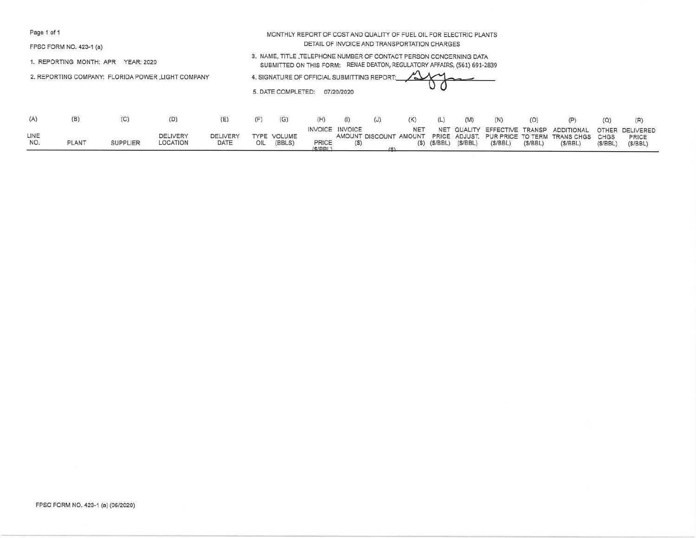FPSC FORM NO. 423-1 (a}

1. REPORTING MONTH: APR YEAR: 2020

2. REPORTING COMPANY: FLORIDA POWER \_LIGHT COMPANY



|                   |              |                 |                             |                         |     |                       | (H)             |                 | (J) | (K)        | (L)     | (M)     | (N)     |         |                                                                                                                                              |         | (R)              |
|-------------------|--------------|-----------------|-----------------------------|-------------------------|-----|-----------------------|-----------------|-----------------|-----|------------|---------|---------|---------|---------|----------------------------------------------------------------------------------------------------------------------------------------------|---------|------------------|
| LINE<br><b>NO</b> | <b>PLANT</b> | <b>SUPPLIER</b> | <b>DELIVERY</b><br>LOCATION | <b>DELIVERY</b><br>DATE | OIL | TYPE VOLUME<br>(BBLS) | PRICE<br>(S/RR) | INVOICE INVOICE |     | <b>NET</b> | (S/BBL) | (S/BEL) | (S/BEL) | (S/BEL) | NET QUALITY EFFECTIVE TRANSP ADDITIONAL OTHER DELIVERED<br>AMOUNT DISCOUNT AMOUNT PRICE ADJUST. PUR PRICE TO TERM TRANS CHGS CHGS<br>(S/BEL) | (S/BBL) | PRICE<br>(S/BEL) |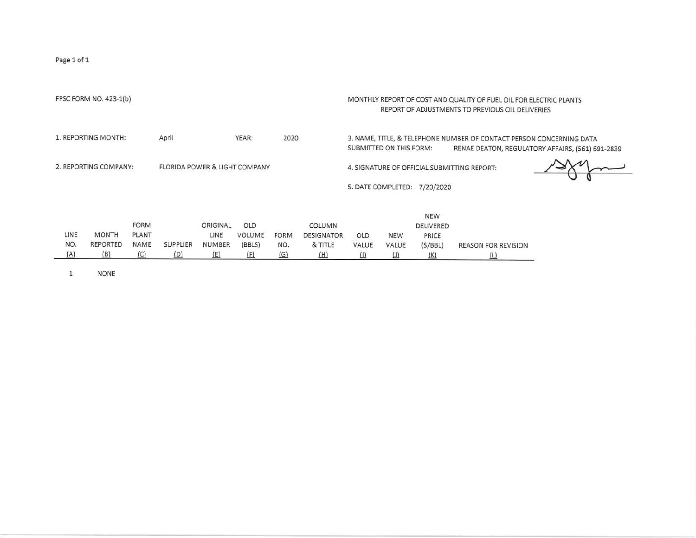|      | FPSC FORM NO. 423-1(b) |              |                                          |            |               |             |                   |                              |        |                              | MONTHLY REPORT OF COST AND QUALITY OF FUEL OIL FOR ELECTRIC PLANTS<br>REPORT OF ADJUSTMENTS TO PREVIOUS OIL DELIVERIES |                                                  |
|------|------------------------|--------------|------------------------------------------|------------|---------------|-------------|-------------------|------------------------------|--------|------------------------------|------------------------------------------------------------------------------------------------------------------------|--------------------------------------------------|
|      | 1. REPORTING MONTH:    |              | April                                    |            | YEAR:         | 2020        |                   | SUBMITTED ON THIS FORM:      |        |                              | 3. NAME, TITLE, & TELEPHONE NUMBER OF CONTACT PERSON CONCERNING DATA                                                   | RENAE DEATON, REGULATORY AFFAIRS, (561) 691-2839 |
|      | 2. REPORTING COMPANY:  |              | <b>FLORIDA POWER &amp; LIGHT COMPANY</b> |            |               |             |                   |                              |        | 5. DATE COMPLETED: 7/20/2020 | 4. SIGNATURE OF OFFICIAL SUBMITTING REPORT:                                                                            |                                                  |
|      |                        |              |                                          |            |               |             |                   |                              |        | <b>NEW</b>                   |                                                                                                                        |                                                  |
|      |                        | <b>FORM</b>  |                                          | ORIGINAL   | OLD           |             | COLUMN            |                              |        | DELIVERED                    |                                                                                                                        |                                                  |
| LINE | <b>MONTH</b>           | <b>PLANT</b> |                                          | LINE       | <b>VOLUME</b> | <b>FORM</b> | <b>DESIGNATOR</b> | OLD                          | NEW    | PRICE                        |                                                                                                                        |                                                  |
| NO.  | REPORTED               | NAME         | <b>SUPPLIER</b>                          | NUMBER     | (BBLS)        | NO.         | & TITLE           | VALUE                        | VALUE  | (S/BBL)                      | <b>REASON FOR REVISION</b>                                                                                             |                                                  |
| (A)  | (B)                    | $\sqrt{C}$   | (D)                                      | <u>(E)</u> | (E)           | <u>(G)</u>  | (H)               | $\langle \mathbf{l} \rangle$ | $\cup$ | (K)                          | (L)                                                                                                                    |                                                  |

1 NONE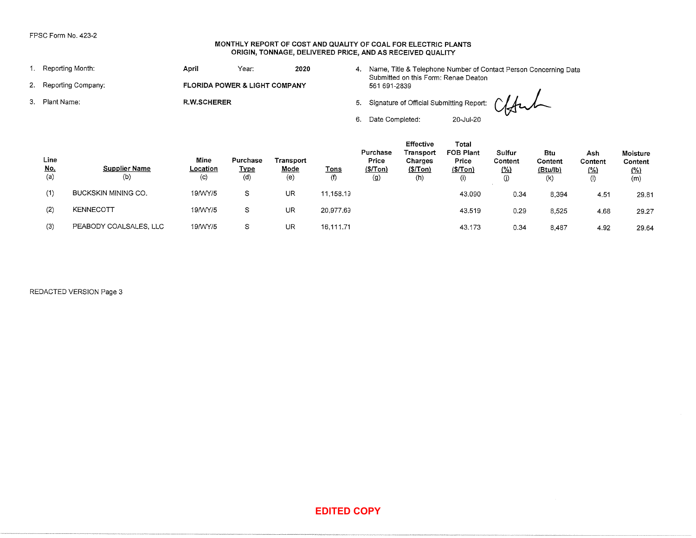#### **MONTHLY REPORT OF COST AND QUALITY OF COAL FOR ELECTRIC PLANTS ORIGIN, TONNAGE, DELIVERED PRICE, AND AS RECEIVED QUALITY**

| 1. Reporting Month:   | April              | Year:                                    | 2020 |    | Submitted on this Form: Renae Deaton               |           | Name, Title & Telephone Number of Contact Person Concerning Data |
|-----------------------|--------------------|------------------------------------------|------|----|----------------------------------------------------|-----------|------------------------------------------------------------------|
| 2. Reporting Company: |                    | <b>FLORIDA POWER &amp; LIGHT COMPANY</b> |      |    | 561 691-2839                                       |           |                                                                  |
| 3. Plant Name:        | <b>R.W.SCHERER</b> |                                          |      |    | 5. Signature of Official Submitting Report: Claude |           |                                                                  |
|                       |                    |                                          |      | 6. | Date Completed:                                    | 20-Jul-20 |                                                                  |

|    |                                          | FPSC Form No. 423-2         |                                        |                                | MONTHLY REPORT OF COST AND QUALITY OF COAL FOR ELECTRIC PLANTS<br>ORIGIN, TONNAGE, DELIVERED PRICE, AND AS RECEIVED QUALITY |                    |                                     |                                                      |                                                                                                             |                                    |                                   |                               |                                          |
|----|------------------------------------------|-----------------------------|----------------------------------------|--------------------------------|-----------------------------------------------------------------------------------------------------------------------------|--------------------|-------------------------------------|------------------------------------------------------|-------------------------------------------------------------------------------------------------------------|------------------------------------|-----------------------------------|-------------------------------|------------------------------------------|
|    |                                          | 1. Reporting Month:         | April                                  | Year:                          | 2020                                                                                                                        |                    |                                     |                                                      | 4. Name, Title & Telephone Number of Contact Person Concerning Data<br>Submitted on this Form: Renae Deaton |                                    |                                   |                               |                                          |
| 2. |                                          | Reporting Company:          |                                        | FLORIDA POWER & LIGHT COMPANY  |                                                                                                                             |                    | 561 691-2839                        |                                                      |                                                                                                             |                                    |                                   |                               |                                          |
| 3. | Plant Name:                              |                             | <b>R.W.SCHERER</b>                     |                                |                                                                                                                             |                    | 5.                                  |                                                      | Signature of Official Submitting Report:                                                                    |                                    |                                   |                               |                                          |
|    |                                          |                             |                                        |                                |                                                                                                                             |                    | 6.<br>Date Completed:               |                                                      | 20-Jul-20                                                                                                   |                                    |                                   |                               |                                          |
|    | Line<br>$\underline{\text{No}}$ .<br>(a) | <b>Supplier Name</b><br>(b) | Mine<br>Location<br>$\left( 0 \right)$ | Purchase<br><b>Type</b><br>(d) | Transport<br>Mode<br>(e)                                                                                                    | <b>Tons</b><br>(f) | Purchase<br>Price<br>(S/Ton)<br>(g) | Effective<br>Transport<br>Charges<br>(S/ Ton)<br>(h) | Total<br><b>FOB Plant</b><br>Price<br>\$/Tom)<br>(i)                                                        | Sulfur<br>Content<br>$($ %)<br>(j) | Btu<br>Content<br>(Btu/lb)<br>(k) | Ash<br>Content<br>(26)<br>(1) | Moisture<br>Content<br><u>(%)</u><br>(m) |
|    | (1)                                      | BUCKSKIN MINING CO.         | 19/WY/5                                | $\mathbb S$                    | UR                                                                                                                          | 11,158.19          |                                     |                                                      | 43.090                                                                                                      | 0.34                               | 8,394                             | 4.51                          | 29.81                                    |
|    | (2)                                      | KENNECOTT                   | 19/WY/5                                | S                              | UR                                                                                                                          | 20,977.69          |                                     |                                                      | 43.519                                                                                                      | 0.29                               | 8,525                             | 4.68                          | 29.27                                    |
|    | (3)                                      | PEABODY COALSALES, LLC      | 19/WY/5                                | S                              | <b>UR</b>                                                                                                                   | 16,111.71          |                                     |                                                      | 43.173                                                                                                      | 0.34                               | 8,487                             | 4.92                          | 29.64                                    |
|    |                                          | REDACTED VERSION Page 3     |                                        |                                |                                                                                                                             |                    |                                     |                                                      |                                                                                                             |                                    |                                   |                               |                                          |
|    |                                          |                             |                                        |                                |                                                                                                                             | <b>EDITED COPY</b> |                                     |                                                      |                                                                                                             |                                    | $\sim 10^{-11}$                   |                               |                                          |
|    |                                          |                             |                                        |                                |                                                                                                                             |                    |                                     |                                                      |                                                                                                             |                                    |                                   |                               |                                          |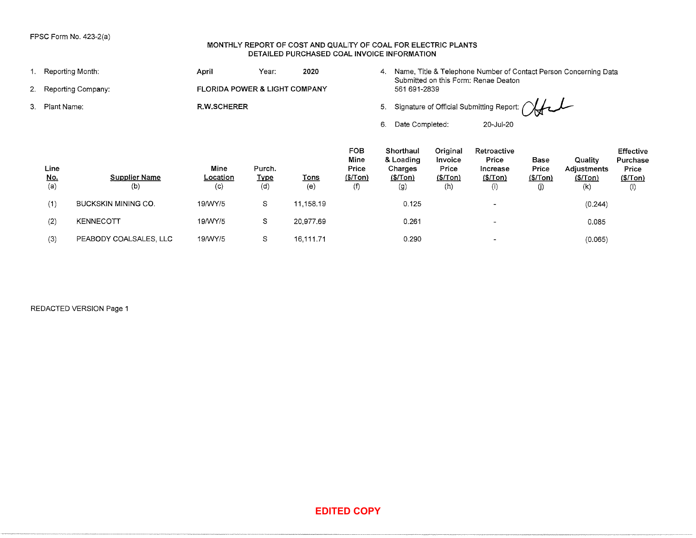### **MONTHLY REPORT OF COST AND QUALITY OF COAL FOR ELECTRIC PLANTS DETAILED PURCHASED COAL INVOICE INFORMATION**

|                                            | FPSC Form No. 423-2(a)      |                               |                              | DETAILED PURCHASED COAL INVOICE INFORMATION |                                         |                                                     |                                                                                                                                                                                                                              |                                                      |                                 |                                            |                                                  |
|--------------------------------------------|-----------------------------|-------------------------------|------------------------------|---------------------------------------------|-----------------------------------------|-----------------------------------------------------|------------------------------------------------------------------------------------------------------------------------------------------------------------------------------------------------------------------------------|------------------------------------------------------|---------------------------------|--------------------------------------------|--------------------------------------------------|
|                                            | 1. Reporting Month:         | April                         | Year:                        | 2020                                        |                                         |                                                     |                                                                                                                                                                                                                              |                                                      |                                 |                                            |                                                  |
|                                            | 2. Reporting Company:       | FLORIDA POWER & LIGHT COMPANY |                              |                                             |                                         | 561 691-2839                                        |                                                                                                                                                                                                                              |                                                      |                                 |                                            |                                                  |
| 3. Plant Name:                             |                             | R.W.SCHERER                   |                              |                                             |                                         |                                                     |                                                                                                                                                                                                                              |                                                      |                                 |                                            |                                                  |
|                                            |                             |                               |                              |                                             |                                         | 6. Date Completed:                                  |                                                                                                                                                                                                                              | 20-Jul-20                                            |                                 |                                            |                                                  |
| Line<br>$\underline{\mathsf{No}}$ .<br>(a) | <b>Supplier Name</b><br>(b) | Mine<br>Location<br>(c)       | Purch.<br><b>Type</b><br>(d) | <b>Tons</b><br>(e)                          | FOB<br>Mine<br>Price<br>(\$/Tom)<br>(f) | Shorthaul<br>& Loading<br>Charges<br>(\$Ton)<br>(g) | Original<br>Invoice<br>Price<br>\$/Tom)<br>(h)                                                                                                                                                                               | Retroactive<br>Price<br>Increase<br>(\$/ Ton)<br>(i) | Base<br>Price<br>(\$Ton)<br>(j) | Quality<br>Adjustments<br>(\$/ Ton)<br>(k) | Effective<br>Purchase<br>Price<br>\$/Tom)<br>(1) |
| (1)                                        | BUCKSKIN MINING CO.         | 19/WY/5                       | $\mathbb S$                  | 11,158.19                                   |                                         | 0.125                                               |                                                                                                                                                                                                                              | $\blacksquare$                                       |                                 | (0.244)                                    |                                                  |
| (2)                                        | KENNECOTT                   | 19/WY/5                       | $\mathbb S$                  | 20,977.69                                   |                                         | 0.261                                               |                                                                                                                                                                                                                              | $\blacksquare$                                       |                                 | 0.085                                      |                                                  |
| (3)                                        | PEABODY COALSALES, LLC      | 19/WY/5                       | S                            | 16,111.71                                   |                                         | 0.290                                               |                                                                                                                                                                                                                              | $\blacksquare$                                       |                                 | (0.065)                                    |                                                  |
|                                            | REDACTED VERSION Page 1     |                               |                              |                                             |                                         |                                                     |                                                                                                                                                                                                                              |                                                      |                                 |                                            |                                                  |
|                                            |                             |                               |                              |                                             | <b>EDITED COPY</b>                      |                                                     | MONTHLY REPORT OF COST AND QUALITY OF COAL FOR ELECTRIC PLANTS<br>4. Name, Title & Telephone Number of Contact Person Concerning Data<br>Submitted on this Form: Renae Deaton<br>5. Signature of Official Submitting Report: |                                                      |                                 |                                            |                                                  |
|                                            |                             |                               |                              |                                             |                                         |                                                     |                                                                                                                                                                                                                              |                                                      |                                 |                                            |                                                  |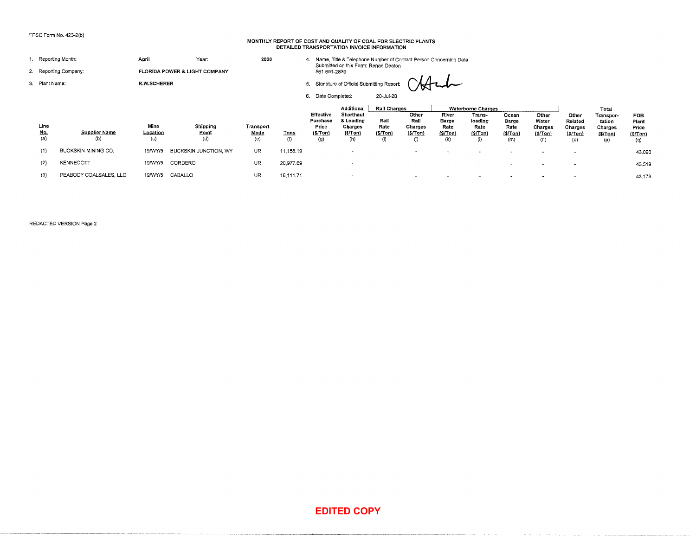#### **MONTHLY REPORT OF COST AND QUALITY OF COAL FOR ELECTRIC PLANTS DETAILED TRANSPORTATION INVOICE INFORMATION**

43.090 43.519 43.173

|                    | FPSC Form No. 423-2(b)      |                         |                               |                                 |             |                                                   | MONTHLY REPORT OF COST AND QUALITY OF COAL FOR ELECTRIC PLANTS<br>DETAILED TRANSPORTATION INVOICE INFORMATION |                                                       |                                            |                                           |                                                                           |                                          |                                             |                                                       |                                                           |                                                |
|--------------------|-----------------------------|-------------------------|-------------------------------|---------------------------------|-------------|---------------------------------------------------|---------------------------------------------------------------------------------------------------------------|-------------------------------------------------------|--------------------------------------------|-------------------------------------------|---------------------------------------------------------------------------|------------------------------------------|---------------------------------------------|-------------------------------------------------------|-----------------------------------------------------------|------------------------------------------------|
|                    | 1. Reporting Month:         | April                   | Year:                         | 2020                            |             |                                                   | 4. Name, Title & Telephone Number of Contact Person Concerning Data<br>Submitted on this Form: Renae Deaton   |                                                       |                                            |                                           |                                                                           |                                          |                                             |                                                       |                                                           |                                                |
|                    | 2. Reporting Company:       |                         | FLORIDA POWER & LIGHT COMPANY |                                 |             | 561 691-2839                                      |                                                                                                               |                                                       |                                            |                                           |                                                                           |                                          |                                             |                                                       |                                                           |                                                |
| 3. Plant Name:     |                             | R.W.SCHERER             |                               |                                 |             |                                                   | 5. Signature of Official Submitting Report:                                                                   |                                                       |                                            |                                           |                                                                           |                                          |                                             |                                                       |                                                           |                                                |
|                    |                             |                         |                               |                                 |             | 6. Date Completed:                                |                                                                                                               | 20-Jul-20                                             |                                            |                                           |                                                                           |                                          |                                             |                                                       |                                                           |                                                |
| Line<br>No.<br>(a) | <b>Supplier Name</b><br>(b) | Mine<br>Location<br>(c) | Shipping<br>Point<br>(d)      | Transport<br><u>Mode</u><br>(e) | Tons<br>(1) | Effective<br>Purchase<br>Price<br>(S/ Ton)<br>(g) | Additional<br>Shorthaul<br>& Loading<br>Charges<br>(\$/Ton)<br>(h)                                            | <b>Rail Charges</b><br>Rail<br>Rate<br>(5/Tom)<br>(i) | Other<br>Rail<br>Charges<br>(S/Top)<br>(j) | River<br>Barge<br>Rate<br>(S/ Ton)<br>(k) | <b>Waterborne Charges</b><br>Trans-<br>loading<br>Rate<br>(\$/Ton)<br>(1) | Ocean<br>Barge<br>Rate<br>(3/Ton)<br>(m) | Other<br>Water<br>Charges<br>(S/Top)<br>(n) | Other<br>Related<br>Charges<br><u>(\$/Ton)</u><br>(o) | Total<br>Transpor-<br>tation<br>Charges<br>(S/Top)<br>(p) | <b>FOB</b><br>Plant<br>Price<br>(S/Ion)<br>(၀) |
| (1)                | BUCKSKIN MINING CO.         | 19/WY/5                 | BUCKSKIN JUNCTION, WY         | UR                              | 11,158.19   |                                                   | $\ddot{\phantom{0}}$                                                                                          |                                                       | $\sim$                                     | $\overline{\phantom{a}}$                  | $\overline{\phantom{a}}$                                                  | $\sim$                                   | $\overline{\phantom{a}}$                    | $\sim$                                                |                                                           | 43.09                                          |
| (2)                | KENNECOTT                   | 19/WY/5                 | CORDERO                       | UR                              | 20,977.69   |                                                   | $\overline{\phantom{a}}$                                                                                      |                                                       |                                            |                                           |                                                                           |                                          | $\overline{a}$                              | $\overline{\phantom{a}}$                              |                                                           | 43.51                                          |
| (3)                | PEABODY COALSALES, LLC      | 19/WY/5                 | CABALLO                       | <b>UR</b>                       | 16,111.71   |                                                   | $\blacksquare$                                                                                                |                                                       |                                            | $\overline{a}$                            |                                                                           |                                          |                                             |                                                       |                                                           | 43.17                                          |
|                    | REDACTED VERSION Page 2     |                         |                               |                                 |             |                                                   |                                                                                                               |                                                       |                                            |                                           |                                                                           |                                          |                                             |                                                       |                                                           |                                                |
|                    |                             |                         |                               |                                 |             |                                                   |                                                                                                               |                                                       |                                            |                                           |                                                                           |                                          |                                             |                                                       |                                                           |                                                |
|                    |                             |                         |                               |                                 |             |                                                   |                                                                                                               |                                                       |                                            |                                           |                                                                           |                                          |                                             |                                                       |                                                           |                                                |
|                    |                             |                         |                               |                                 |             |                                                   |                                                                                                               |                                                       |                                            |                                           |                                                                           |                                          |                                             |                                                       |                                                           |                                                |
|                    |                             |                         |                               |                                 |             |                                                   |                                                                                                               |                                                       |                                            |                                           |                                                                           |                                          |                                             |                                                       |                                                           |                                                |
|                    |                             |                         |                               |                                 |             |                                                   |                                                                                                               |                                                       |                                            |                                           |                                                                           |                                          |                                             |                                                       |                                                           |                                                |
|                    |                             |                         |                               |                                 |             |                                                   |                                                                                                               |                                                       |                                            |                                           |                                                                           |                                          |                                             |                                                       |                                                           |                                                |
|                    |                             |                         |                               |                                 |             |                                                   |                                                                                                               |                                                       |                                            |                                           |                                                                           |                                          |                                             |                                                       |                                                           |                                                |
|                    |                             |                         |                               |                                 |             |                                                   | <b>EDITED COPY</b>                                                                                            |                                                       |                                            |                                           |                                                                           |                                          |                                             |                                                       |                                                           |                                                |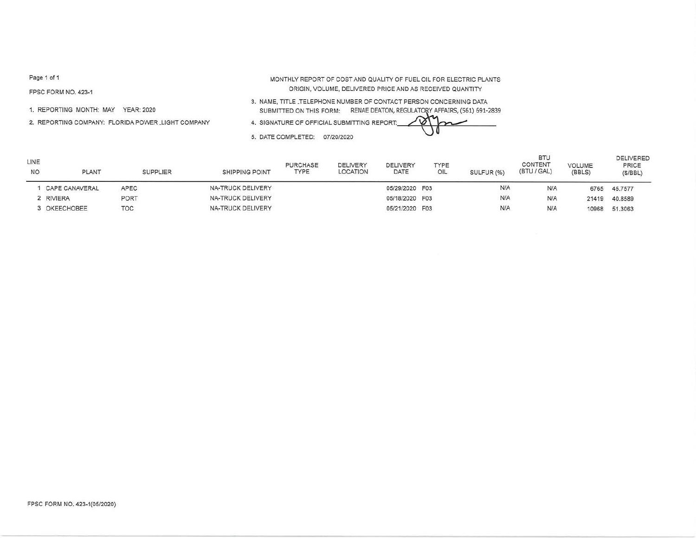FPSC FORM NO. 423-1

1. REPORTING MONTH: MAY YEAR: 2020

2. REPORTING COMPANY: FLORIDA POWER LIGHT COMPANY

MONTHLY REPORT OF COST AND QUALITY OF FUEL OIL FOR ELECTRIC PLANTS ORIGIN, VOLUME, DELIVERED PRICE AND AS RECEIVED QUANTITY

3. NAME, TITLE \_TELEPHONE NUMBER OF CONTACT PERSON CONCERNING DATA SUBMITTED ON THIS FORM: RENAE DEATON, REGULATORY AFFAIRS, (561) 691-2839

4. SIGNATURE OF OFFICIAL SUBMITTING **REPORT::\_,4.~~,....l,::::l:::::i.::::::::::::::. \_ \_ \_** 

5. DATE COMPLETED: 07/20/2020

| LINE<br><b>NO</b> | <b>PLANT</b>   | <b>SUPPLIER</b> | <b>SHIPPING POINT</b> | <b>PURCHASE</b><br><b>TYPE</b> | DELIVERY<br>LOCATION | DELIVERY<br>DATE | TYPE<br>OIL | SULFUR (%) | <b>BTU</b><br>CONTENT<br>(BTU / GAL) | <b>VOLUME</b><br>(BBLS) | <b>DELIVERED</b><br>PRICE<br>(S/BBL) |
|-------------------|----------------|-----------------|-----------------------|--------------------------------|----------------------|------------------|-------------|------------|--------------------------------------|-------------------------|--------------------------------------|
|                   | CAPE CANAVERAL | APEC            | NA-TRUCK DELIVERY     |                                |                      | 05/29/2020 F03   |             | N/A        | N/A                                  | 6765                    | 45.7577                              |
|                   | 2 RIVIERA      | PORT            | NA-TRUCK DELIVERY     |                                |                      | 05/18/2020 F03   |             | N/A        | N/A                                  | 21419                   | 40.8589                              |
|                   | 3 OKEECHOBEE   | TOC             | NA-TRUCK DELIVERY     |                                |                      | 05/21/2020 F03   |             | N/A        | N/A                                  | 10968                   | 51,3063                              |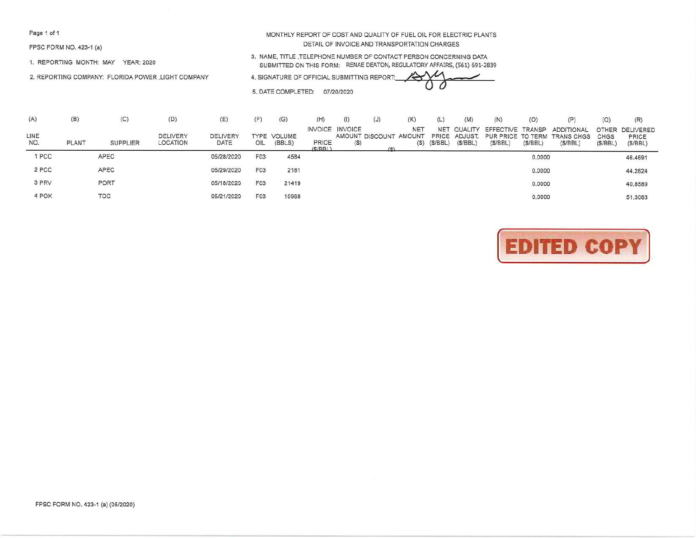FPSC FORM NO. 423-1 (a)

1. REPORTING MONTH: MAY YEAR: 2020

2. REPORTING COMPANY: FLORIDA POWER \_LIGHT COMPANY

MONTHLY REPORT OF COST AND QUALITY OF FUEL OIL FOR ELECTRIC PLANTS DETAIL OF INVOICE AND TRANSPORTATION CHARGES

3. NAME, TITLE \_TELEPHONE NUMBER OF CONTACT PERSON CONCERNING DATA SUBMITTED ON THIS FORM: RENAE DEATON, REGULATORY AFFAIRS, (561) 691-2839 3. NAME, TITLE TELEPHONE NUMBER OF CONTACT PERSON CONCERNING DATA<br>SUBMITTED ON THIS FORM: RENAE DEATON, REGULATORY AFFAIRS, (561) 691-2839<br>4. SIGNATURE OF OFFICIAL SUBMITTING REPORT:

5. DATE COMPLETED: 07/20/2020

| (A)         | (B)   | (C)             | (D)                                | (E)              | (F)              | (G)                   | (H)             | (1)                               | (J)                           | (K)                       | (L)                   | (M)                                 | (N)                                              | (O)     | (P)                                      | (Q)                     | (R)                           |
|-------------|-------|-----------------|------------------------------------|------------------|------------------|-----------------------|-----------------|-----------------------------------|-------------------------------|---------------------------|-----------------------|-------------------------------------|--------------------------------------------------|---------|------------------------------------------|-------------------------|-------------------------------|
| LINE<br>NO. | PLANT | <b>SUPPLIER</b> | <b>DELIVERY</b><br><b>LOCATION</b> | DELIVERY<br>DATE | OIL              | TYPE VOLUME<br>(BBLS) | PRICE<br>(S/RR) | <b>INVOICE INVOICE</b><br>$($ \$) | AMOUNT DISCOUNT AMOUNT<br>(S) | NE <sub>1</sub><br>$(\$)$ | <b>NET</b><br>(S/BEL) | QUALITY<br>PRICE ADJUST.<br>(S/BBL) | EFFECTIVE TRANSP<br>PUR PRICE TO TERM<br>(S/BEL) | (S/BEL) | ADDITIONAL<br>TRANS CHGS CHGS<br>(S/BEL) | <b>OTHER</b><br>(S/BEL) | DELIVERED<br>PRICE<br>(S/BEL) |
| 1 PCC       |       | APEC            |                                    | 05/28/2020       | F <sub>0</sub> 3 | 4584                  |                 |                                   |                               |                           |                       |                                     |                                                  | 0.0000  |                                          |                         | 46.4691                       |
| 2 PCC       |       | APEC            |                                    | 05/29/2020       | F <sub>03</sub>  | 2181                  |                 |                                   |                               |                           |                       |                                     |                                                  | 0.0000  |                                          |                         | 44.2624                       |
| 3 PRV       |       | PORT            |                                    | 05/18/2020       | F <sub>03</sub>  | 21419                 |                 |                                   |                               |                           |                       |                                     |                                                  | 0.0000  |                                          |                         | 40.8589                       |
| 4 POK       |       | <b>TOC</b>      |                                    | 05/21/2020       | F <sub>0</sub> 3 | 10968                 |                 |                                   |                               |                           |                       |                                     |                                                  | 0.0000  |                                          |                         | 51,3063                       |

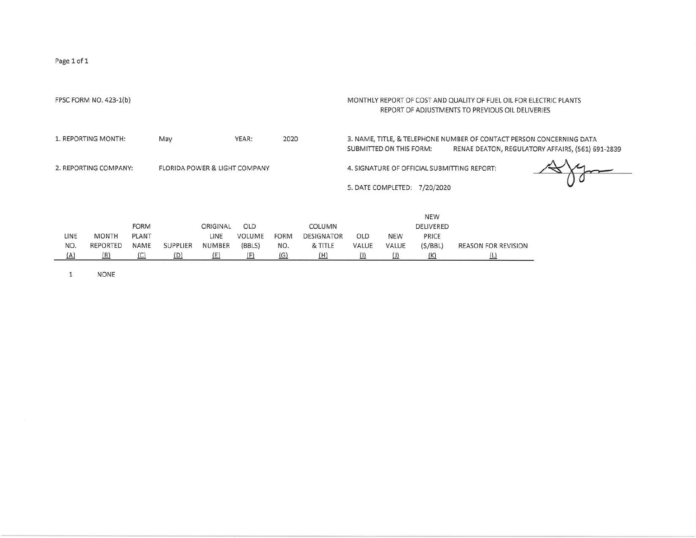|                         | FPSC FORM NO. 423-1(b)                 |                                     |                                          |                                   |                                       |                           |                                               |                         |              |                                                    | MONTHLY REPORT OF COST AND QUALITY OF FUEL OIL FOR ELECTRIC PLANTS<br>REPORT OF ADJUSTMENTS TO PREVIOUS OIL DELIVERIES |                                                  |
|-------------------------|----------------------------------------|-------------------------------------|------------------------------------------|-----------------------------------|---------------------------------------|---------------------------|-----------------------------------------------|-------------------------|--------------|----------------------------------------------------|------------------------------------------------------------------------------------------------------------------------|--------------------------------------------------|
|                         | 1. REPORTING MONTH:                    |                                     | May                                      |                                   | YEAR:                                 | 2020                      |                                               | SUBMITTED ON THIS FORM: |              |                                                    | 3. NAME, TITLE, & TELEPHONE NUMBER OF CONTACT PERSON CONCERNING DATA                                                   | RENAE DEATON, REGULATORY AFFAIRS, (561) 691-2839 |
|                         | 2. REPORTING COMPANY:                  |                                     | <b>FLORIDA POWER &amp; LIGHT COMPANY</b> |                                   |                                       |                           |                                               | 5. DATE COMPLETED:      |              | 7/20/2020                                          | 4. SIGNATURE OF OFFICIAL SUBMITTING REPORT:                                                                            |                                                  |
| LINE<br>NO.<br>$\Delta$ | <b>MONTH</b><br><b>REPORTED</b><br>(B) | <b>FORM</b><br>PLANT<br>NAME<br>(C) | <b>SUPPLIER</b><br>(D)                   | ORIGINAL<br>LINE<br>NUMBER<br>(E) | OLD<br><b>VOLUME</b><br>(BBLS)<br>(F) | <b>FORM</b><br>NO.<br>(G) | COLUMN<br><b>DESIGNATOR</b><br>& TITLE<br>(H) | OLD<br>VALUE            | NEW<br>VALUE | <b>NEW</b><br>DELIVERED<br>PRICE<br>(S/BBL)<br>(K) | <b>REASON FOR REVISION</b><br><u>(L)</u>                                                                               |                                                  |

l NONE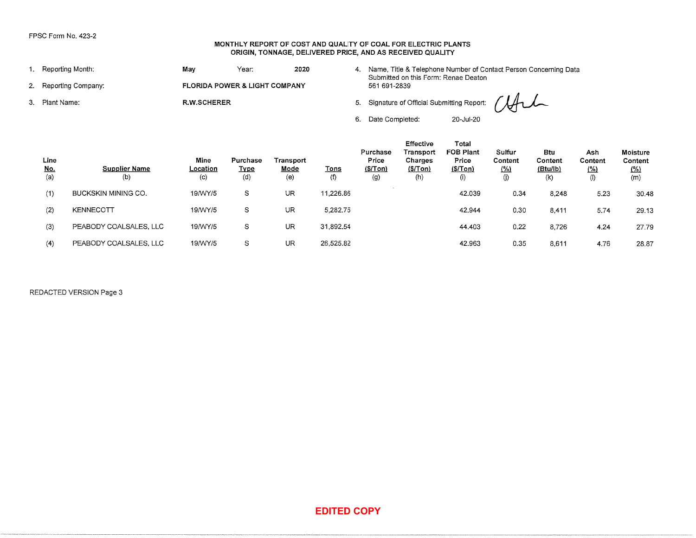### **MONTHLY REPORT OF COST AND QUALITY OF COAL FOR ELECTRIC PLANTS ORIGIN, TONNAGE, DELIVERED PRICE, AND AS RECEIVED QUALITY**

| 1. Reporting Month:   | Mav                | Year:                                    | 2020 | 4. Name, Title & Telephone Number of Contact Person Concerning Data<br>Submitted on this Form: Renae Deaton |
|-----------------------|--------------------|------------------------------------------|------|-------------------------------------------------------------------------------------------------------------|
| 2. Reporting Company: |                    | <b>FLORIDA POWER &amp; LIGHT COMPANY</b> |      | 561 691-2839                                                                                                |
| 3. Plant Name:        | <b>R.W.SCHERER</b> |                                          |      | 5. Signature of Official Submitting Report: (After                                                          |
|                       |                    |                                          |      | 6. Date Completed:<br>20-Jul-20                                                                             |

|                                         | FPSC Form No. 423-2         |                         |                                | MONTHLY REPORT OF COST AND QUALITY OF COAL FOR ELECTRIC PLANTS<br>ORIGIN, TONNAGE, DELIVERED PRICE, AND AS RECEIVED QUALITY |                    |                                                    |                                                     |                                                                                                             |                                  |                                   |                                              |                                                 |
|-----------------------------------------|-----------------------------|-------------------------|--------------------------------|-----------------------------------------------------------------------------------------------------------------------------|--------------------|----------------------------------------------------|-----------------------------------------------------|-------------------------------------------------------------------------------------------------------------|----------------------------------|-----------------------------------|----------------------------------------------|-------------------------------------------------|
|                                         | 1. Reporting Month:         | May                     | Year:                          | 2020                                                                                                                        |                    |                                                    |                                                     | 4. Name, Title & Telephone Number of Contact Person Concerning Data<br>Submitted on this Form: Renae Deaton |                                  |                                   |                                              |                                                 |
|                                         | 2. Reporting Company:       |                         | FLORIDA POWER & LIGHT COMPANY  |                                                                                                                             |                    | 561 691-2839                                       |                                                     |                                                                                                             |                                  |                                   |                                              |                                                 |
| 3. Plant Name:                          |                             | <b>R.W.SCHERER</b>      |                                |                                                                                                                             |                    |                                                    |                                                     | 5. Signature of Official Submitting Report:                                                                 |                                  |                                   |                                              |                                                 |
|                                         |                             |                         |                                |                                                                                                                             |                    | 6. Date Completed:                                 |                                                     | 20-Jul-20                                                                                                   |                                  |                                   |                                              |                                                 |
| Line<br>$\underline{\text{No.}}$<br>(a) | <b>Supplier Name</b><br>(b) | Mine<br>Location<br>(c) | Purchase<br><b>Type</b><br>(d) | Transport<br>Mode<br>(e)                                                                                                    | <b>Tons</b><br>(f) | Purchase<br>Price<br>(S/ Ton)<br>$\left( 9\right)$ | Effective<br>Transport<br>Charges<br>\$/Tom)<br>(h) | Total<br><b>FOB Plant</b><br>Price<br>(S/ Ton)<br>(i)                                                       | Sulfur<br>Content<br>(26)<br>(j) | Btu<br>Content<br>(Btu/lb)<br>(k) | Ash<br>Content<br>$\frac{(\%)}{(\%)}$<br>(1) | <b>Moisture</b><br>Content<br><u>(%)</u><br>(m) |
| (1)                                     | BUCKSKIN MINING CO.         | 19/WY/5                 | S                              | UR                                                                                                                          | 11,226.86          |                                                    |                                                     | 42.039                                                                                                      | 0.34                             | 8,248                             | 5.23                                         | 30.48                                           |
| (2)                                     | KENNECOTT                   | 19/WY/5                 | S                              | UR                                                                                                                          | 5,282.75           |                                                    |                                                     | 42.944                                                                                                      | 0.30                             | 8,411                             | 5.74                                         | 29.13                                           |
| (3)                                     | PEABODY COALSALES, LLC      | 19/WY/5                 | S                              | UR                                                                                                                          | 31,892.54          |                                                    |                                                     | 44.403                                                                                                      | 0.22                             | 8,726                             | 4.24                                         | 27.79                                           |
| (4)                                     | PEABODY COALSALES, LLC      | 19/WY/5                 | ${\mathbb S}$                  | UR                                                                                                                          | 26,525.82          |                                                    |                                                     | 42.963                                                                                                      | 0.35                             | 8,611                             | 4.76                                         | 28.87                                           |
|                                         | REDACTED VERSION Page 3     |                         |                                |                                                                                                                             |                    |                                                    |                                                     |                                                                                                             |                                  |                                   |                                              |                                                 |
|                                         |                             |                         |                                |                                                                                                                             | <b>EDITED COPY</b> |                                                    |                                                     |                                                                                                             |                                  |                                   |                                              |                                                 |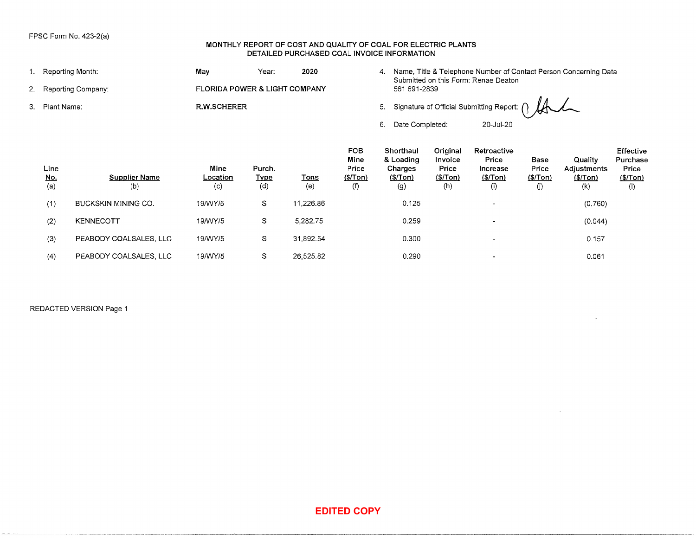### MONTHLY REPORT OF COST AND QUALITY OF COAL FOR ELECTRIC PLANTS DETAILED PURCHASED COAL INVOICE INFORMATION

|                           | FPSC Form No. 423-2(a)      |                               |                              | MONTHLY REPORT OF COST AND QUALITY OF COAL FOR ELECTRIC PLANTS<br>DETAILED PURCHASED COAL INVOICE INFORMATION |                                         |                                                       |                                                 |                                                      |                                   |                                                                     |                                                    |
|---------------------------|-----------------------------|-------------------------------|------------------------------|---------------------------------------------------------------------------------------------------------------|-----------------------------------------|-------------------------------------------------------|-------------------------------------------------|------------------------------------------------------|-----------------------------------|---------------------------------------------------------------------|----------------------------------------------------|
|                           | 1. Reporting Month:         | May                           | Year:                        | 2020                                                                                                          |                                         |                                                       |                                                 | Submitted on this Form: Renae Deaton                 |                                   | 4. Name, Title & Telephone Number of Contact Person Concerning Data |                                                    |
|                           | 2. Reporting Company:       | FLORIDA POWER & LIGHT COMPANY |                              |                                                                                                               |                                         | 561 691-2839                                          |                                                 |                                                      |                                   |                                                                     |                                                    |
| 3. Plant Name:            |                             | R.W.SCHERER                   |                              |                                                                                                               |                                         | 5.                                                    |                                                 | Signature of Official Submitting Report:             |                                   |                                                                     |                                                    |
|                           |                             |                               |                              |                                                                                                               |                                         | 6.<br>Date Completed:                                 |                                                 | 20-Jul-20                                            |                                   |                                                                     |                                                    |
| Line<br><u>No.</u><br>(a) | <b>Supplier Name</b><br>(b) | Mine<br>Location<br>(c)       | Purch.<br><b>Type</b><br>(d) | <b>Tons</b><br>(e)                                                                                            | FOB<br>Mine<br>Price<br>(\$/Tom)<br>(f) | Shorthaul<br>& Loading<br>Charges<br>(\$/ Ton)<br>(g) | Original<br>Invoice<br>Price<br>(S/ Ton)<br>(h) | Retroactive<br>Price<br>Increase<br>(\$/ Ton)<br>(i) | Base<br>Price<br>(\$/ Ton)<br>(j) | Quality<br>Adjustments<br>(S/ Ton)<br>(k)                           | Effective<br>Purchase<br>Price<br>(\$/ Ton)<br>(1) |
| (1)                       | BUCKSKIN MINING CO.         | 19/WY/5                       | $\mathbb S$                  | 11,226.86                                                                                                     |                                         | 0.125                                                 |                                                 | $\blacksquare$                                       |                                   | (0.760)                                                             |                                                    |
| (2)                       | KENNECOTT                   | 19/WY/5                       | S                            | 5,282.75                                                                                                      |                                         | 0.259                                                 |                                                 | $\blacksquare$                                       |                                   | (0.044)                                                             |                                                    |
| (3)                       | PEABODY COALSALES, LLC      | 19/WY/5                       | S                            | 31,892.54                                                                                                     |                                         | 0.300                                                 |                                                 |                                                      |                                   | 0.157                                                               |                                                    |
| (4)                       | PEABODY COALSALES, LLC      | 19/WY/5                       | $\mathbb S$                  | 26,525.82                                                                                                     |                                         | 0.290                                                 |                                                 |                                                      |                                   | 0.061                                                               |                                                    |
|                           | REDACTED VERSION Page 1     |                               |                              |                                                                                                               |                                         |                                                       |                                                 |                                                      |                                   |                                                                     |                                                    |
|                           |                             |                               |                              |                                                                                                               | <b>EDITED COPY</b>                      |                                                       |                                                 |                                                      |                                   |                                                                     |                                                    |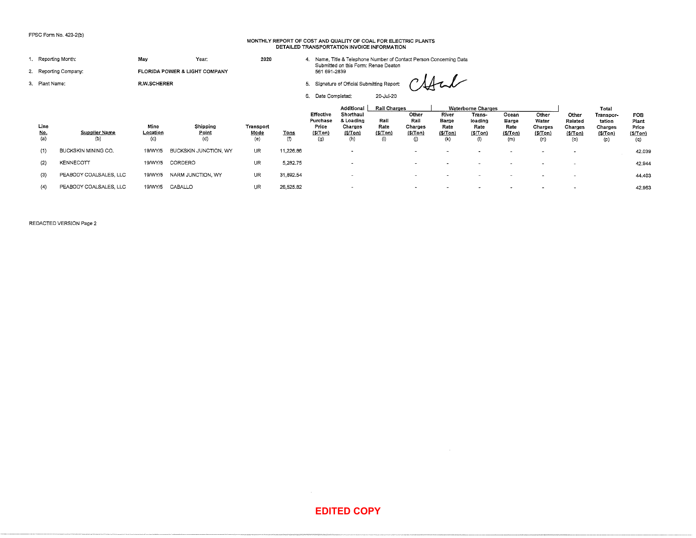# **MONTHLY REPORT OF COST AND QUALITY OF COAL FOR ELECTRIC PLANTS DETAILED TRANSPORTATION INVOICE INFORMATION**

42.039 42.944 44.403 42.963

|                           | FPSC Form No. 423–2(b)      |                         |                               |                          |                    |                                                                                           | MONTHLY REPORT OF COST AND QUALITY OF COAL FOR ELECTRIC PLANTS<br>DETAILED TRANSPORTATION INVOICE INFORMATION |                                                |                                            |                                                                                             |                                                                                              |                                           |                                              |                                                |                                                            |                                          |
|---------------------------|-----------------------------|-------------------------|-------------------------------|--------------------------|--------------------|-------------------------------------------------------------------------------------------|---------------------------------------------------------------------------------------------------------------|------------------------------------------------|--------------------------------------------|---------------------------------------------------------------------------------------------|----------------------------------------------------------------------------------------------|-------------------------------------------|----------------------------------------------|------------------------------------------------|------------------------------------------------------------|------------------------------------------|
|                           | 1. Reporting Month:         | May                     | Үеаг.                         | 2020                     |                    |                                                                                           | 4. Name, Title & Telephone Number of Contact Person Concerning Data<br>Submitted on this Form: Renae Deaton   |                                                |                                            |                                                                                             |                                                                                              |                                           |                                              |                                                |                                                            |                                          |
|                           | 2. Reporting Company:       |                         | FLORIDA POWER & LIGHT COMPANY |                          |                    | 561 691-2839                                                                              |                                                                                                               |                                                |                                            |                                                                                             |                                                                                              |                                           |                                              |                                                |                                                            |                                          |
| 3. Plant Name:            |                             | <b>R.W.SCHERER</b>      |                               |                          |                    |                                                                                           | 5. Signature of Official Submitting Report:                                                                   |                                                |                                            |                                                                                             |                                                                                              |                                           |                                              |                                                |                                                            |                                          |
|                           |                             |                         |                               |                          |                    | 6. Date Completed:                                                                        |                                                                                                               | 20-Jul-20                                      |                                            |                                                                                             |                                                                                              |                                           |                                              |                                                |                                                            |                                          |
| Line<br>$\frac{No.}{(a)}$ | <b>Supplier Name</b><br>(b) | Mine<br>Location<br>(c) | Shipping<br>Point<br>(d)      | Transport<br>Mode<br>(e) | <b>Tons</b><br>(1) | Effective<br>Purchase<br>Price<br>(S/Ton)<br>(g)                                          | Additional<br>Shorthaul<br>& Loading<br>Charges<br>[S/Ton]<br>(h)                                             | Rail Charges<br>Rail<br>Rate<br>(S/Ion)<br>(i) | Other<br>Rail<br>Charges<br>(S/Ion)<br>(j) | River<br>Barge<br>Rate<br>(S/Ton)<br>(k)                                                    | <b>Waterborne Charges</b><br>Trans-<br>loading<br>Rate<br>$(S/ \top 0)$<br>$\left( 0\right)$ | Ocean<br>Barge<br>Rate<br>(S/ Ton)<br>(m) | Other<br>Water<br>Charges<br>(S/ Ton)<br>(n) | Other<br>Related<br>Charges<br>(\$/Ton)<br>(o) | Total<br>Transpor-<br>tation<br>Charges<br>(\$/Ton)<br>(p) | FOB<br>Plant<br>Price<br>(S/ Ton)<br>(q) |
| (1)                       | BUCKSKIN MINING CO.         | 19/WY/5                 | BUCKSKIN JUNCTION, WY         | UR                       | 11,226.86          |                                                                                           | $\overline{\phantom{a}}$                                                                                      |                                                | $\overline{\phantom{a}}$                   | $\sim$                                                                                      | $\overline{\phantom{a}}$                                                                     | $\overline{\phantom{a}}$                  | $\tilde{\phantom{a}}$                        | $\blacksquare$                                 |                                                            | 42.03                                    |
| (2)                       | KENNECOTT                   | 19/WY/5                 | CORDERO                       | <b>UR</b>                | 5,282.75           |                                                                                           | $\tilde{\phantom{a}}$                                                                                         |                                                | ٠                                          |                                                                                             |                                                                                              |                                           |                                              |                                                |                                                            | 42.94                                    |
| (3)                       | PEABODY COALSALES, LLC      | 19/WY/5                 | NARM JUNCTION, WY             | <b>UR</b>                | 31,892.54          |                                                                                           | $\overline{\phantom{a}}$                                                                                      |                                                | $\overline{\phantom{a}}$                   | $\overline{\phantom{a}}$                                                                    | $\overline{\phantom{a}}$                                                                     | $\overline{\phantom{a}}$                  |                                              |                                                |                                                            | 44.40                                    |
| (4)                       | PEABODY COALSALES, LLC      | 19/WY/5                 | CABALLO                       | UR.                      | 26,525.82          |                                                                                           |                                                                                                               |                                                |                                            |                                                                                             |                                                                                              |                                           |                                              |                                                |                                                            | 42.96                                    |
|                           |                             |                         |                               |                          |                    |                                                                                           |                                                                                                               |                                                |                                            |                                                                                             |                                                                                              |                                           |                                              |                                                |                                                            |                                          |
|                           |                             |                         |                               |                          |                    | $\mathcal{L}^{\mathcal{L}}(\mathcal{F})$ and $\mathcal{L}^{\mathcal{L}}(\mathcal{F})$ and | <b>EDITED COPY</b>                                                                                            |                                                |                                            | $\mathcal{L}_{\mathcal{A}}$ and $\mathcal{L}_{\mathcal{A}}$ and $\mathcal{L}_{\mathcal{A}}$ |                                                                                              |                                           |                                              |                                                |                                                            |                                          |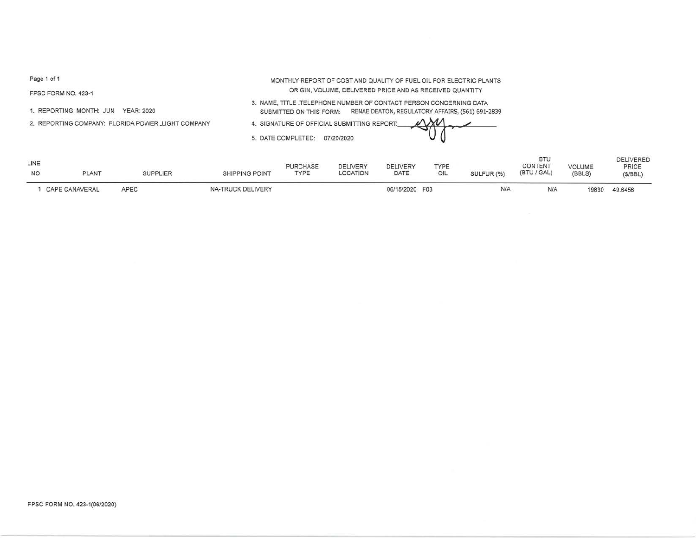FPSC FORM NO. 423-1

1. REPORTING MONTH: JUN YEAR: 2020

2. REPORTING COMPANY: FLORIDA POWER .LIGHT COMPANY

ORIGIN, VOLUME, DELIVERED PRICE AND AS RECEIVED QUANTITY 3. NAME, TITLE .TELEPHONE NUMBER OF CONTACT PERSON CONCERNING DATA

MONTHLY REPORT OF COST AND QUALITY OF FUEL OIL FOR ELECTRIC PLANTS

SUBMITTED ON THIS FORM: RENAE DEATON, REGULATORY AFFAIRS, (561) 691·2839

4. SIGNATURE OF O

5. DATE COMPLETE

|     | OFFICIAL SUBMITTING REPORT: | in |  |
|-----|-----------------------------|----|--|
| ED: | 07/20/2020                  |    |  |

| LINE<br><b>NO</b> | <b>PLANT</b>   | <b>SUPPLIER</b> | <b>SHIPPING POINT</b> | <b>PURCHASE</b><br>TYPE | <b>DELIVERY</b><br>LOCATION | DELIVERY<br>DATE | TYPE<br>OIL | SULFUR (%) | <b>BTU</b><br>CONTENT<br>(BTU / GAL) | <b>VOLUME</b><br>(BBLS) | <b>DELIVERED</b><br>PRICE<br>(S/BBL) |
|-------------------|----------------|-----------------|-----------------------|-------------------------|-----------------------------|------------------|-------------|------------|--------------------------------------|-------------------------|--------------------------------------|
|                   | CAPE CANAVERAL | APEC            | NA-TRUCK DELIVERY     |                         |                             | 06/15/2020 F03   |             | N/A        | N/A                                  | 19830                   | 49.6456                              |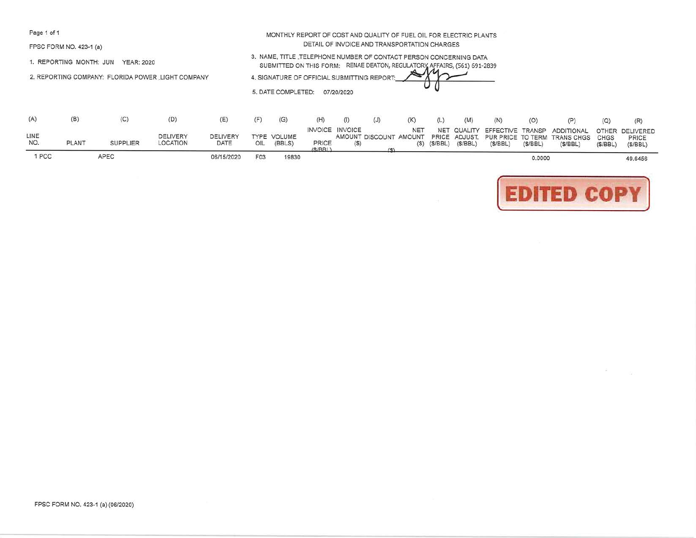FPSC FORM NO. 423-1 (a)

1. REPORTING MONTH: JUN YEAR: 2020

2. REPORTING COMPANY: FLORIDA POWER .LIGHT COMPANY

| DETAIL OF INVOICE AND TRANSPORTATION CHARGES                             |
|--------------------------------------------------------------------------|
| 3. NAME, TITLE TELEPHONE NUMBER OF CONTACT PERSON CONCERNING DATA        |
| SUBMITTED ON THIS FORM: RENAE DEATON, REGULATORY AFFAIRS, (561) 691-2839 |
| 4. SIGNATURE OF OFFICIAL SUBMITTING REPORT:                              |
| 5. DATE COMPLETED:<br>07/20/2020                                         |

MONTHLY REPORT OF COST AND QUALITY OF FUEL OIL FOR ELECTRIC PLANTS

| (A)         |              |                 | (D)                                |                         |                 | (G)                   | (H)             | (1)                    | (J) | (K)        |            | (M)                       | (N)     | (O)     |                                                                                                                           |         | (R)                                 |
|-------------|--------------|-----------------|------------------------------------|-------------------------|-----------------|-----------------------|-----------------|------------------------|-----|------------|------------|---------------------------|---------|---------|---------------------------------------------------------------------------------------------------------------------------|---------|-------------------------------------|
| LINE<br>NO. | <b>PLANT</b> | <b>SUPPLIER</b> | <b>DELIVERY</b><br><b>LOCATION</b> | <b>DELIVERY</b><br>DATE | OIL             | TYPE VOLUME<br>(BBLS) | PRICE<br>(S/RR) | <b>INVOICE INVOICE</b> |     | <b>NET</b> | <b>NET</b> | $(S)$ $(S/BBL)$ $(S/BBL)$ | (S/BEL) | (S/BEL) | COUALITY EFFECTIVE TRANSP ADDITIONAL<br>AMOUNT DISCOUNT AMOUNT PRICE ADJUST. PUR PRICE TO TERM TRANS CHGS CHGS<br>(S/BBL) | (S/BBL) | OTHER DELIVERED<br>PRICE<br>(S/BBL) |
| 1 PCC       |              | APEC            |                                    | 06/15/2020              | F <sub>03</sub> | 19830                 |                 |                        |     |            |            |                           |         | 0.0000  |                                                                                                                           |         | 49.6456                             |



 $\langle \vec{m} \rangle$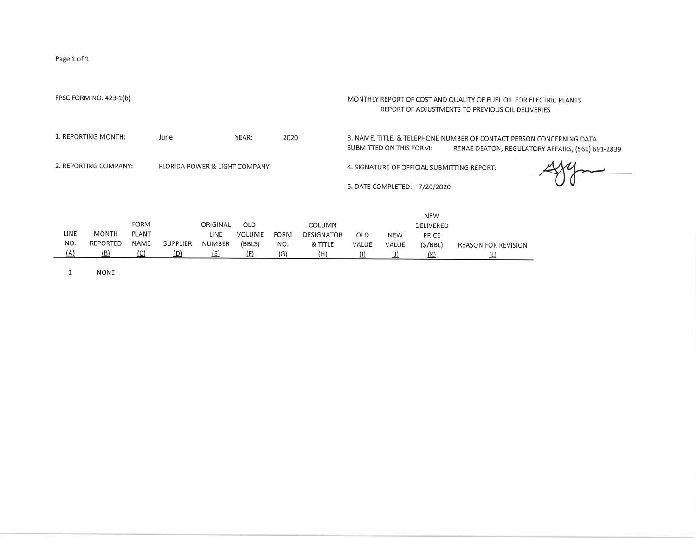| FPSC FORM NO. 423-1(b)                                                                         | MONTHLY REPORT OF COST AND QUALITY OF FUEL OIL FOR ELECTRIC PLANTS<br>REPORT OF ADJUSTMENTS TO PREVIOUS OIL DELIVERIES                              |
|------------------------------------------------------------------------------------------------|-----------------------------------------------------------------------------------------------------------------------------------------------------|
| 1. REPORTING MONTH:<br>YEAR:<br>June<br>2020                                                   | 3. NAME, TITLE, & TELEPHONE NUMBER OF CONTACT PERSON CONCERNING DATA<br>SUBMITTED ON THIS FORM:<br>RENAE DEATON, REGULATORY AFFAIRS, (561) 691-2839 |
| 2. REPORTING COMPANY:<br><b>FLORIDA POWER &amp; LIGHT COMPANY</b>                              | 4. SIGNATURE OF OFFICIAL SUBMITTING REPORT:                                                                                                         |
|                                                                                                | 5. DATE COMPLETED:<br>7/20/2020                                                                                                                     |
|                                                                                                | <b>NEW</b>                                                                                                                                          |
| <b>FORM</b><br>OLD<br>ORIGINAL<br>COLUMN                                                       | DELIVERED                                                                                                                                           |
| LINE<br><b>MONTH</b><br>PLANT<br>LINE<br>VOLUME<br><b>FORM</b><br><b>DESIGNATOR</b>            | OLD<br><b>NEW</b><br>PRICE                                                                                                                          |
| NO.<br><b>REPORTED</b><br>NAME<br><b>SUPPLIER</b><br><b>NUMBER</b><br>(BBLS)<br>& TITLE<br>NO. | VALUE<br>VALUE<br>(S/BEL)<br><b>REASON FOR REVISION</b>                                                                                             |
| (A)<br>(B)<br><u>(C)</u><br>(D)<br>(E)<br>(F)<br>(G)<br>(H)                                    | $\Box$<br>$\overline{\pi}$<br>(K)<br><u>(T)</u>                                                                                                     |

1 NONE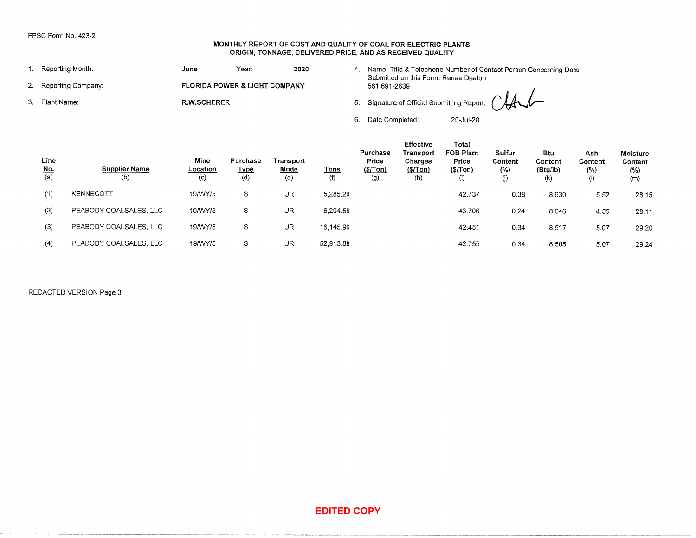#### **MONTHLY REPORT OF COST AND QUALITY OF COAL FOR ELECTRIC PLANTS ORIGIN, TONNAGE, DELIVERED PRICE, AND AS RECEIVED QUALITY**

| 1. Reporting Month:   | Year:<br>2020<br>June |                                          |  | Name, Title & Telephone Number of Contact Person Concerning Data<br>Submitted on this Form: Renae Deaton |  |  |  |  |  |  |
|-----------------------|-----------------------|------------------------------------------|--|----------------------------------------------------------------------------------------------------------|--|--|--|--|--|--|
| 2. Reporting Company: |                       | <b>FLORIDA POWER &amp; LIGHT COMPANY</b> |  | 561 691-2839                                                                                             |  |  |  |  |  |  |
| 3. Plant Name:        | <b>R.W.SCHERER</b>    |                                          |  | 5. Signature of Official Submitting Report: ( LA                                                         |  |  |  |  |  |  |
|                       |                       |                                          |  | Date Completed:<br>20-Jul-20                                                                             |  |  |  |  |  |  |

|                    | FPSC Form No. 423-2                                                                                                 |                  |                               | MONTHLY REPORT OF COST AND QUALITY OF COAL FOR ELECTRIC PLANTS<br>ORIGIN, TONNAGE, DELIVERED PRICE, AND AS RECEIVED QUALITY |                    |                                      |                                               |                                                                                                             |                                 |                            |                          |                                   |
|--------------------|---------------------------------------------------------------------------------------------------------------------|------------------|-------------------------------|-----------------------------------------------------------------------------------------------------------------------------|--------------------|--------------------------------------|-----------------------------------------------|-------------------------------------------------------------------------------------------------------------|---------------------------------|----------------------------|--------------------------|-----------------------------------|
|                    | 1. Reporting Month:                                                                                                 | June             | Year:                         | 2020                                                                                                                        |                    |                                      |                                               | 4. Name, Title & Telephone Number of Contact Person Concerning Data<br>Submitted on this Form: Renae Deaton |                                 |                            |                          |                                   |
|                    | 2. Reporting Company:                                                                                               |                  | FLORIDA POWER & LIGHT COMPANY |                                                                                                                             |                    | 561 691-2839                         |                                               |                                                                                                             |                                 |                            |                          |                                   |
| 3. Plant Name:     |                                                                                                                     | R.W.SCHERER      |                               |                                                                                                                             |                    |                                      |                                               | 5. Signature of Official Submitting Report:                                                                 |                                 |                            |                          |                                   |
|                    |                                                                                                                     |                  |                               |                                                                                                                             |                    | 6. Date Completed:                   |                                               | 20-Jul-20                                                                                                   |                                 |                            |                          |                                   |
| Line<br><u>No.</u> | <b>Supplier Name</b>                                                                                                | Mine<br>Location | Purchase<br><b>Type</b>       | Transport<br>Mode                                                                                                           | <b>Tons</b>        | Purchase<br>Price<br><u>(\$/Ton)</u> | Effective<br>Transport<br>Charges<br>(S/ Ton) | Total<br>FOB Plant<br>Price<br>(S/ Ton)                                                                     | Sulfur<br>Content<br><u>(%)</u> | Btu<br>Content<br>(Btu/lb) | Ash<br>Content<br>$($ %) | Moisture<br>Content<br><u>(%)</u> |
| (a)                | (b)                                                                                                                 | (c)              | (d)                           | (e)                                                                                                                         | (1)                | (g)                                  | (h)                                           | (i)                                                                                                         | $\eta$                          | (k)                        | (1)                      | (m)                               |
| (1)                | KENNECOTT                                                                                                           | 19/WY/5          | S                             | UR.                                                                                                                         | 5,285.29           |                                      |                                               | 42.737                                                                                                      | 0.38                            | 8,630                      | 5.52                     | 28.15                             |
| (2)                | PEABODY COALSALES, LLC                                                                                              | 19/WY/5          | S                             | UR                                                                                                                          | 6,294.56           |                                      |                                               | 43.706                                                                                                      | 0.24                            | 8,646                      | 4.55                     | 28.11                             |
| (3)                | PEABODY COALSALES, LLC                                                                                              | 19/WY/5          | S                             | UR                                                                                                                          | 16,145.96          |                                      |                                               | 42.451                                                                                                      | 0.34                            | 8,517                      | 5.07                     | 29.20                             |
| (4)                | PEABODY COALSALES, LLC                                                                                              | 19/WY/5          | $\mathbb S$                   | <b>UR</b>                                                                                                                   | 52,913.88          |                                      |                                               | 42.755                                                                                                      | 0.34                            | 8,505                      | 5.07                     | 29.24                             |
|                    | REDACTED VERSION Page 3<br>$\mathcal{L}(\mathcal{L})$ and $\mathcal{L}(\mathcal{L})$ and $\mathcal{L}(\mathcal{L})$ |                  |                               |                                                                                                                             |                    |                                      |                                               |                                                                                                             |                                 |                            |                          |                                   |
|                    |                                                                                                                     |                  |                               |                                                                                                                             | <b>EDITED COPY</b> |                                      |                                               |                                                                                                             |                                 |                            |                          |                                   |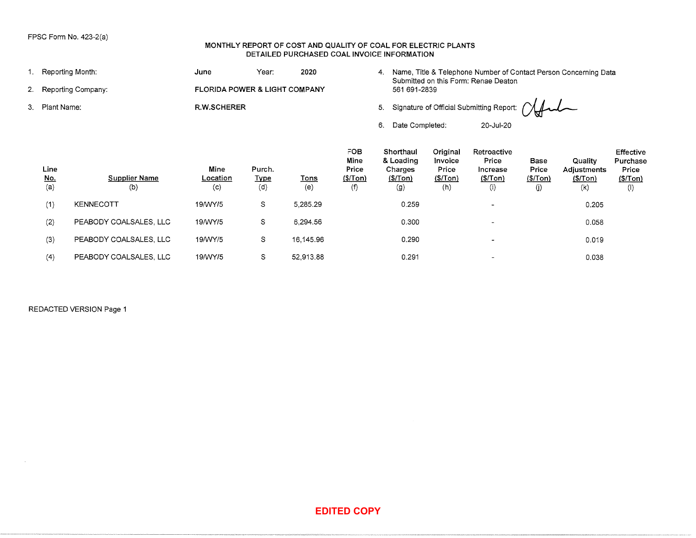### MONTHLY REPORT OF COST AND QUALITY OF COAL FOR ELECTRIC PLANTS DETAILED PURCHASED COAL INVOICE INFORMATION

| 1. Reporting Month:<br>June<br>Year:<br>2020<br>4. Name, Title & Telephone Number of Contact Person Concerning Data<br>Submitted on this Form: Renae Deaton<br>Reporting Company:<br>FLORIDA POWER & LIGHT COMPANY<br>561 691-2839<br>2.<br>Signature of Official Submitting Report:<br>R.W.SCHERER<br>5.<br>3. Plant Name:<br>6. Date Completed:<br>20-Jul-20<br>FOB<br>Shorthaul<br>Original<br>Retroactive<br>Effective<br>Mine<br>& Loading<br>Price<br>Invoice<br>Base<br>Quality<br>Purchase<br>Line<br>Mine<br>Purch.<br>Price<br>Charges<br>Price<br>Price<br>Increase<br>Adjustments<br>Price<br><b>Supplier Name</b><br>(\$/Tom)<br><u>No.</u><br>Location<br><b>Type</b><br>(S/Ion)<br>(S/Ion)<br>(\$/Tom)<br>(S/ Ton)<br><b>Tons</b><br>(S/Ion)<br>(S/ Ton)<br>(0)<br>(a)<br>(c)<br>(d)<br>(f)<br>(g)<br>(h)<br>(e)<br>(i)<br>(j)<br>(k)<br>(1)<br>(1)<br>KENNECOTT<br>19/WY/5<br>S<br>5,285.29<br>0.259<br>0.205<br>$\blacksquare$<br>PEABODY COALSALES, LLC<br>19/WY/5<br>S<br>6,294.56<br>0.300<br>(2)<br>0.058<br>$\blacksquare$<br>PEABODY COALSALES, LLC<br>$\mathbb S$<br>16,145.96<br>19/WY/5<br>0.290<br>(3)<br>0.019<br><br>(4)<br>PEABODY COALSALES, LLC<br>$\mathbb S$<br>52,913.88<br>19/WY/5<br>0.291<br>0.038<br>$\overline{\phantom{a}}$<br>REDACTED VERSION Page 1<br><b>EDITED COPY</b> |  | FPSC Form No. 423-2(a) |  | MONTHLY REPORT OF COST AND QUALITY OF COAL FOR ELECTRIC PLANTS<br>DETAILED PURCHASED COAL INVOICE INFORMATION |  |  |  |  |
|-----------------------------------------------------------------------------------------------------------------------------------------------------------------------------------------------------------------------------------------------------------------------------------------------------------------------------------------------------------------------------------------------------------------------------------------------------------------------------------------------------------------------------------------------------------------------------------------------------------------------------------------------------------------------------------------------------------------------------------------------------------------------------------------------------------------------------------------------------------------------------------------------------------------------------------------------------------------------------------------------------------------------------------------------------------------------------------------------------------------------------------------------------------------------------------------------------------------------------------------------------------------------------------------------------------------------|--|------------------------|--|---------------------------------------------------------------------------------------------------------------|--|--|--|--|
|                                                                                                                                                                                                                                                                                                                                                                                                                                                                                                                                                                                                                                                                                                                                                                                                                                                                                                                                                                                                                                                                                                                                                                                                                                                                                                                       |  |                        |  |                                                                                                               |  |  |  |  |
|                                                                                                                                                                                                                                                                                                                                                                                                                                                                                                                                                                                                                                                                                                                                                                                                                                                                                                                                                                                                                                                                                                                                                                                                                                                                                                                       |  |                        |  |                                                                                                               |  |  |  |  |
|                                                                                                                                                                                                                                                                                                                                                                                                                                                                                                                                                                                                                                                                                                                                                                                                                                                                                                                                                                                                                                                                                                                                                                                                                                                                                                                       |  |                        |  |                                                                                                               |  |  |  |  |
|                                                                                                                                                                                                                                                                                                                                                                                                                                                                                                                                                                                                                                                                                                                                                                                                                                                                                                                                                                                                                                                                                                                                                                                                                                                                                                                       |  |                        |  |                                                                                                               |  |  |  |  |
|                                                                                                                                                                                                                                                                                                                                                                                                                                                                                                                                                                                                                                                                                                                                                                                                                                                                                                                                                                                                                                                                                                                                                                                                                                                                                                                       |  |                        |  |                                                                                                               |  |  |  |  |
|                                                                                                                                                                                                                                                                                                                                                                                                                                                                                                                                                                                                                                                                                                                                                                                                                                                                                                                                                                                                                                                                                                                                                                                                                                                                                                                       |  |                        |  |                                                                                                               |  |  |  |  |
|                                                                                                                                                                                                                                                                                                                                                                                                                                                                                                                                                                                                                                                                                                                                                                                                                                                                                                                                                                                                                                                                                                                                                                                                                                                                                                                       |  |                        |  |                                                                                                               |  |  |  |  |
|                                                                                                                                                                                                                                                                                                                                                                                                                                                                                                                                                                                                                                                                                                                                                                                                                                                                                                                                                                                                                                                                                                                                                                                                                                                                                                                       |  |                        |  |                                                                                                               |  |  |  |  |
|                                                                                                                                                                                                                                                                                                                                                                                                                                                                                                                                                                                                                                                                                                                                                                                                                                                                                                                                                                                                                                                                                                                                                                                                                                                                                                                       |  |                        |  |                                                                                                               |  |  |  |  |
|                                                                                                                                                                                                                                                                                                                                                                                                                                                                                                                                                                                                                                                                                                                                                                                                                                                                                                                                                                                                                                                                                                                                                                                                                                                                                                                       |  |                        |  |                                                                                                               |  |  |  |  |
|                                                                                                                                                                                                                                                                                                                                                                                                                                                                                                                                                                                                                                                                                                                                                                                                                                                                                                                                                                                                                                                                                                                                                                                                                                                                                                                       |  |                        |  |                                                                                                               |  |  |  |  |